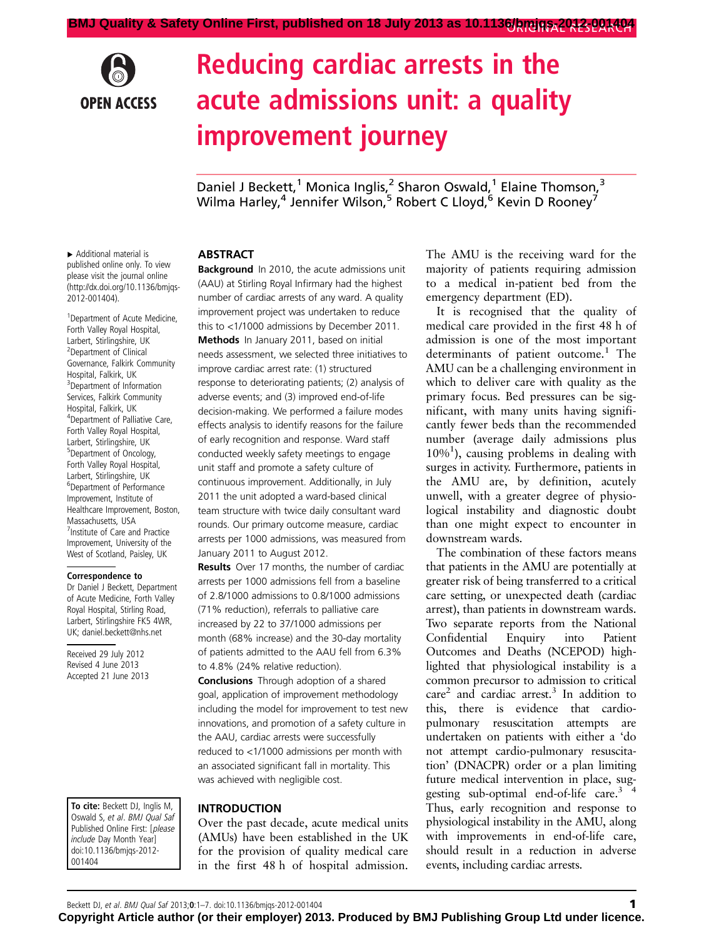

# Reducing cardiac arrests in the acute admissions unit: a quality improvement journey

Daniel J Beckett,<sup>1</sup> Monica Inglis,<sup>2</sup> Sharon Oswald,<sup>1</sup> Elaine Thomson,<sup>3</sup> Wilma Harley,  $4$  Jennifer Wilson,  $5$  Robert C Lloyd,  $6$  Kevin D Rooney  $7$ 

▸ Additional material is published online only. To view please visit the journal online ([http://dx.doi.org/10.1136/bmjqs-](http://dx.doi.org/10.1136/bmjqs-2012-001404)[2012-001404](http://dx.doi.org/10.1136/bmjqs-2012-001404)).

<sup>1</sup> Department of Acute Medicine, Forth Valley Royal Hospital, Larbert, Stirlingshire, UK 2 Department of Clinical Governance, Falkirk Community Hospital, Falkirk, UK <sup>3</sup> Department of Information Services, Falkirk Community Hospital, Falkirk, UK <sup>4</sup> Department of Palliative Care, Forth Valley Royal Hospital, Larbert, Stirlingshire, UK 5 Department of Oncology, Forth Valley Royal Hospital, Larbert, Stirlingshire, UK 6 Department of Performance Improvement, Institute of Healthcare Improvement, Boston, Massachusetts, USA <sup>7</sup> Institute of Care and Practice Improvement, University of the West of Scotland, Paisley, UK

#### Correspondence to

Dr Daniel J Beckett, Department of Acute Medicine, Forth Valley Royal Hospital, Stirling Road, Larbert, Stirlingshire FK5 4WR, UK; daniel.beckett@nhs.net

Received 29 July 2012 Revised 4 June 2013 Accepted 21 June 2013

To cite: Beckett DJ, Inglis M, Oswald S, et al. BMJ Qual Saf Published Online First: [please include Day Month Year] doi:10.1136/bmjqs-2012- 001404

## ABSTRACT

**Background** In 2010, the acute admissions unit (AAU) at Stirling Royal Infirmary had the highest number of cardiac arrests of any ward. A quality improvement project was undertaken to reduce this to <1/1000 admissions by December 2011. Methods In January 2011, based on initial needs assessment, we selected three initiatives to improve cardiac arrest rate: (1) structured response to deteriorating patients; (2) analysis of adverse events; and (3) improved end-of-life decision-making. We performed a failure modes effects analysis to identify reasons for the failure of early recognition and response. Ward staff conducted weekly safety meetings to engage unit staff and promote a safety culture of continuous improvement. Additionally, in July 2011 the unit adopted a ward-based clinical team structure with twice daily consultant ward rounds. Our primary outcome measure, cardiac arrests per 1000 admissions, was measured from January 2011 to August 2012.

Results Over 17 months, the number of cardiac arrests per 1000 admissions fell from a baseline of 2.8/1000 admissions to 0.8/1000 admissions (71% reduction), referrals to palliative care increased by 22 to 37/1000 admissions per month (68% increase) and the 30-day mortality of patients admitted to the AAU fell from 6.3% to 4.8% (24% relative reduction).

Conclusions Through adoption of a shared goal, application of improvement methodology including the model for improvement to test new innovations, and promotion of a safety culture in the AAU, cardiac arrests were successfully reduced to <1/1000 admissions per month with an associated significant fall in mortality. This was achieved with negligible cost.

### INTRODUCTION

Over the past decade, acute medical units (AMUs) have been established in the UK for the provision of quality medical care in the first 48 h of hospital admission.

The AMU is the receiving ward for the majority of patients requiring admission to a medical in-patient bed from the emergency department (ED).

It is recognised that the quality of medical care provided in the first 48 h of admission is one of the most important determinants of patient outcome.<sup>1</sup> The AMU can be a challenging environment in which to deliver care with quality as the primary focus. Bed pressures can be significant, with many units having significantly fewer beds than the recommended number (average daily admissions plus 10%<sup>1</sup> ), causing problems in dealing with surges in activity. Furthermore, patients in the AMU are, by definition, acutely unwell, with a greater degree of physiological instability and diagnostic doubt than one might expect to encounter in downstream wards.

The combination of these factors means that patients in the AMU are potentially at greater risk of being transferred to a critical care setting, or unexpected death (cardiac arrest), than patients in downstream wards. Two separate reports from the National Confidential Enquiry into Patient Outcomes and Deaths (NCEPOD) highlighted that physiological instability is a common precursor to admission to critical care2 and cardiac arrest.3 In addition to this, there is evidence that cardiopulmonary resuscitation attempts are undertaken on patients with either a 'do not attempt cardio-pulmonary resuscitation' (DNACPR) order or a plan limiting future medical intervention in place, suggesting sub-optimal end-of-life care.<sup>3</sup> <sup>4</sup> Thus, early recognition and response to physiological instability in the AMU, along with improvements in end-of-life care, should result in a reduction in adverse events, including cardiac arrests.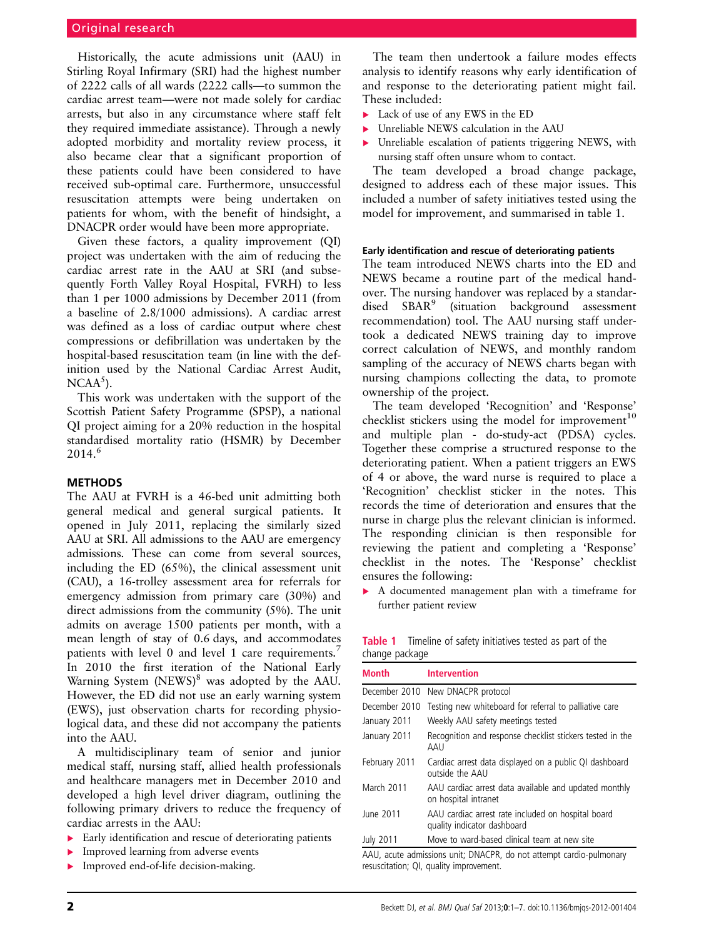Historically, the acute admissions unit (AAU) in Stirling Royal Infirmary (SRI) had the highest number of 2222 calls of all wards (2222 calls—to summon the cardiac arrest team—were not made solely for cardiac arrests, but also in any circumstance where staff felt they required immediate assistance). Through a newly adopted morbidity and mortality review process, it also became clear that a significant proportion of these patients could have been considered to have received sub-optimal care. Furthermore, unsuccessful resuscitation attempts were being undertaken on patients for whom, with the benefit of hindsight, a DNACPR order would have been more appropriate.

Given these factors, a quality improvement (QI) project was undertaken with the aim of reducing the cardiac arrest rate in the AAU at SRI (and subsequently Forth Valley Royal Hospital, FVRH) to less than 1 per 1000 admissions by December 2011 (from a baseline of 2.8/1000 admissions). A cardiac arrest was defined as a loss of cardiac output where chest compressions or defibrillation was undertaken by the hospital-based resuscitation team (in line with the definition used by the National Cardiac Arrest Audit,  $NCAA<sup>5</sup>$ ).

This work was undertaken with the support of the Scottish Patient Safety Programme (SPSP), a national QI project aiming for a 20% reduction in the hospital standardised mortality ratio (HSMR) by December  $2014<sup>6</sup>$ 

# **METHODS**

The AAU at FVRH is a 46-bed unit admitting both general medical and general surgical patients. It opened in July 2011, replacing the similarly sized AAU at SRI. All admissions to the AAU are emergency admissions. These can come from several sources, including the ED (65%), the clinical assessment unit (CAU), a 16-trolley assessment area for referrals for emergency admission from primary care (30%) and direct admissions from the community (5%). The unit admits on average 1500 patients per month, with a mean length of stay of 0.6 days, and accommodates patients with level 0 and level 1 care requirements.<sup>7</sup> In 2010 the first iteration of the National Early Warning System (NEWS)<sup>8</sup> was adopted by the AAU. However, the ED did not use an early warning system (EWS), just observation charts for recording physiological data, and these did not accompany the patients into the AAU.

A multidisciplinary team of senior and junior medical staff, nursing staff, allied health professionals and healthcare managers met in December 2010 and developed a high level driver diagram, outlining the following primary drivers to reduce the frequency of cardiac arrests in the AAU:

- ▸ Early identification and rescue of deteriorating patients
- Improved learning from adverse events
- ▸ Improved end-of-life decision-making.

The team then undertook a failure modes effects analysis to identify reasons why early identification of and response to the deteriorating patient might fail. These included:

- ▸ Lack of use of any EWS in the ED
- Unreliable NEWS calculation in the AAU
- ▶ Unreliable escalation of patients triggering NEWS, with nursing staff often unsure whom to contact.

The team developed a broad change package, designed to address each of these major issues. This included a number of safety initiatives tested using the model for improvement, and summarised in table 1.

#### Early identification and rescue of deteriorating patients

The team introduced NEWS charts into the ED and NEWS became a routine part of the medical handover. The nursing handover was replaced by a standardised SBAR<sup>9</sup> (situation background assessment recommendation) tool. The AAU nursing staff undertook a dedicated NEWS training day to improve correct calculation of NEWS, and monthly random sampling of the accuracy of NEWS charts began with nursing champions collecting the data, to promote ownership of the project.

The team developed 'Recognition' and 'Response' checklist stickers using the model for improvement<sup>10</sup> and multiple plan - do-study-act (PDSA) cycles. Together these comprise a structured response to the deteriorating patient. When a patient triggers an EWS of 4 or above, the ward nurse is required to place a 'Recognition' checklist sticker in the notes. This records the time of deterioration and ensures that the nurse in charge plus the relevant clinician is informed. The responding clinician is then responsible for reviewing the patient and completing a 'Response' checklist in the notes. The 'Response' checklist ensures the following:

▸ A documented management plan with a timeframe for further patient review

| change package | <b>Table 1</b> Timeline of safety initiatives tested as part of the |  |  |  |
|----------------|---------------------------------------------------------------------|--|--|--|
|                |                                                                     |  |  |  |
| .              |                                                                     |  |  |  |

| <b>Month</b>     | <b>Intervention</b>                                                               |
|------------------|-----------------------------------------------------------------------------------|
|                  | December 2010 New DNACPR protocol                                                 |
| December 2010    | Testing new whiteboard for referral to palliative care                            |
| January 2011     | Weekly AAU safety meetings tested                                                 |
| January 2011     | Recognition and response checklist stickers tested in the<br>AAU                  |
| February 2011    | Cardiac arrest data displayed on a public QI dashboard<br>outside the AAU         |
| March 2011       | AAU cardiac arrest data available and updated monthly<br>on hospital intranet     |
| June 2011        | AAU cardiac arrest rate included on hospital board<br>quality indicator dashboard |
| <b>July 2011</b> | Move to ward-based clinical team at new site                                      |

AAU, acute admissions unit; DNACPR, do not attempt cardio-pulmonary resuscitation; QI, quality improvement.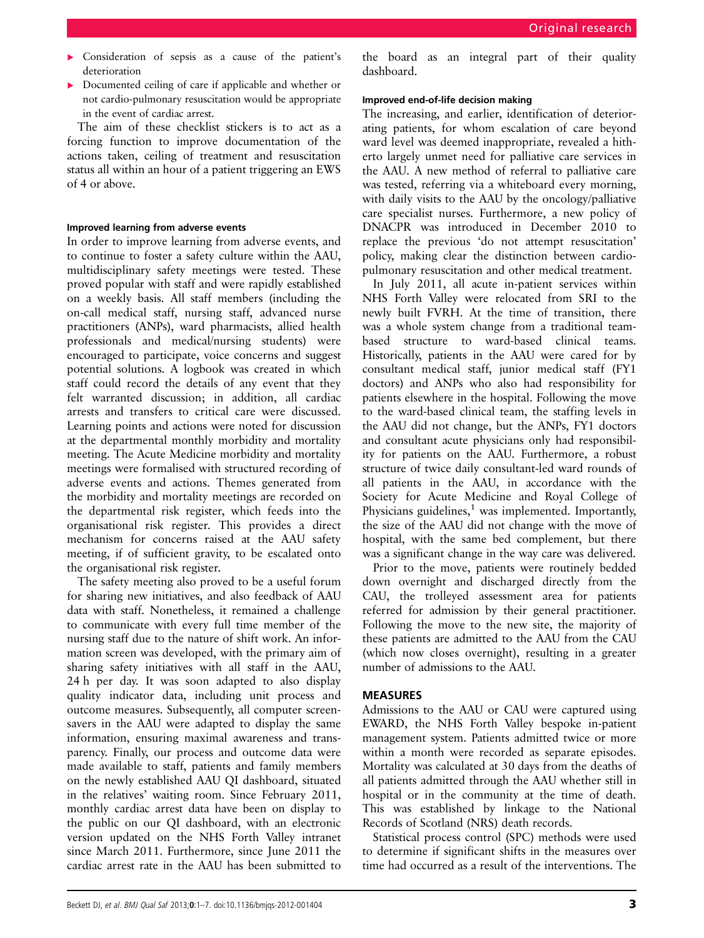- ▸ Consideration of sepsis as a cause of the patient's deterioration
- ▸ Documented ceiling of care if applicable and whether or not cardio-pulmonary resuscitation would be appropriate in the event of cardiac arrest.

The aim of these checklist stickers is to act as a forcing function to improve documentation of the actions taken, ceiling of treatment and resuscitation status all within an hour of a patient triggering an EWS of 4 or above.

#### Improved learning from adverse events

In order to improve learning from adverse events, and to continue to foster a safety culture within the AAU, multidisciplinary safety meetings were tested. These proved popular with staff and were rapidly established on a weekly basis. All staff members (including the on-call medical staff, nursing staff, advanced nurse practitioners (ANPs), ward pharmacists, allied health professionals and medical/nursing students) were encouraged to participate, voice concerns and suggest potential solutions. A logbook was created in which staff could record the details of any event that they felt warranted discussion; in addition, all cardiac arrests and transfers to critical care were discussed. Learning points and actions were noted for discussion at the departmental monthly morbidity and mortality meeting. The Acute Medicine morbidity and mortality meetings were formalised with structured recording of adverse events and actions. Themes generated from the morbidity and mortality meetings are recorded on the departmental risk register, which feeds into the organisational risk register. This provides a direct mechanism for concerns raised at the AAU safety meeting, if of sufficient gravity, to be escalated onto the organisational risk register.

The safety meeting also proved to be a useful forum for sharing new initiatives, and also feedback of AAU data with staff. Nonetheless, it remained a challenge to communicate with every full time member of the nursing staff due to the nature of shift work. An information screen was developed, with the primary aim of sharing safety initiatives with all staff in the AAU, 24 h per day. It was soon adapted to also display quality indicator data, including unit process and outcome measures. Subsequently, all computer screensavers in the AAU were adapted to display the same information, ensuring maximal awareness and transparency. Finally, our process and outcome data were made available to staff, patients and family members on the newly established AAU QI dashboard, situated in the relatives' waiting room. Since February 2011, monthly cardiac arrest data have been on display to the public on our QI dashboard, with an electronic version updated on the NHS Forth Valley intranet since March 2011. Furthermore, since June 2011 the cardiac arrest rate in the AAU has been submitted to

the board as an integral part of their quality dashboard.

#### Improved end-of-life decision making

The increasing, and earlier, identification of deteriorating patients, for whom escalation of care beyond ward level was deemed inappropriate, revealed a hitherto largely unmet need for palliative care services in the AAU. A new method of referral to palliative care was tested, referring via a whiteboard every morning, with daily visits to the AAU by the oncology/palliative care specialist nurses. Furthermore, a new policy of DNACPR was introduced in December 2010 to replace the previous 'do not attempt resuscitation' policy, making clear the distinction between cardiopulmonary resuscitation and other medical treatment.

In July 2011, all acute in-patient services within NHS Forth Valley were relocated from SRI to the newly built FVRH. At the time of transition, there was a whole system change from a traditional teambased structure to ward-based clinical teams. Historically, patients in the AAU were cared for by consultant medical staff, junior medical staff (FY1 doctors) and ANPs who also had responsibility for patients elsewhere in the hospital. Following the move to the ward-based clinical team, the staffing levels in the AAU did not change, but the ANPs, FY1 doctors and consultant acute physicians only had responsibility for patients on the AAU. Furthermore, a robust structure of twice daily consultant-led ward rounds of all patients in the AAU, in accordance with the Society for Acute Medicine and Royal College of Physicians guidelines, $<sup>1</sup>$  was implemented. Importantly,</sup> the size of the AAU did not change with the move of hospital, with the same bed complement, but there was a significant change in the way care was delivered.

Prior to the move, patients were routinely bedded down overnight and discharged directly from the CAU, the trolleyed assessment area for patients referred for admission by their general practitioner. Following the move to the new site, the majority of these patients are admitted to the AAU from the CAU (which now closes overnight), resulting in a greater number of admissions to the AAU.

### MEASURES

Admissions to the AAU or CAU were captured using EWARD, the NHS Forth Valley bespoke in-patient management system. Patients admitted twice or more within a month were recorded as separate episodes. Mortality was calculated at 30 days from the deaths of all patients admitted through the AAU whether still in hospital or in the community at the time of death. This was established by linkage to the National Records of Scotland (NRS) death records.

Statistical process control (SPC) methods were used to determine if significant shifts in the measures over time had occurred as a result of the interventions. The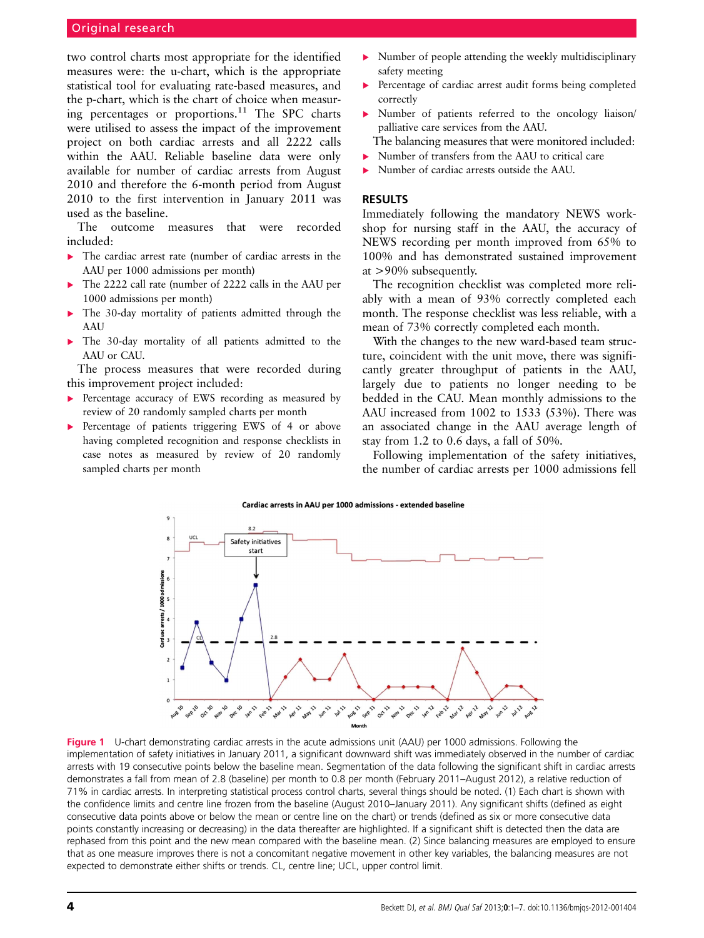# Original research

two control charts most appropriate for the identified measures were: the u-chart, which is the appropriate statistical tool for evaluating rate-based measures, and the p-chart, which is the chart of choice when measuring percentages or proportions.<sup>11</sup> The SPC charts were utilised to assess the impact of the improvement project on both cardiac arrests and all 2222 calls within the AAU. Reliable baseline data were only available for number of cardiac arrests from August 2010 and therefore the 6-month period from August 2010 to the first intervention in January 2011 was used as the baseline.

The outcome measures that were recorded included:

- ▸ The cardiac arrest rate (number of cardiac arrests in the AAU per 1000 admissions per month)
- ▸ The 2222 call rate (number of 2222 calls in the AAU per 1000 admissions per month)
- ▸ The 30-day mortality of patients admitted through the AAU
- The 30-day mortality of all patients admitted to the AAU or CAU.

The process measures that were recorded during this improvement project included:

- Percentage accuracy of EWS recording as measured by review of 20 randomly sampled charts per month
- ▸ Percentage of patients triggering EWS of 4 or above having completed recognition and response checklists in case notes as measured by review of 20 randomly sampled charts per month
- $\triangleright$  Number of people attending the weekly multidisciplinary safety meeting
- ▸ Percentage of cardiac arrest audit forms being completed correctly
- ▸ Number of patients referred to the oncology liaison/ palliative care services from the AAU.
	- The balancing measures that were monitored included:
- ▸ Number of transfers from the AAU to critical care
- ▸ Number of cardiac arrests outside the AAU.

### RESULTS

Immediately following the mandatory NEWS workshop for nursing staff in the AAU, the accuracy of NEWS recording per month improved from 65% to 100% and has demonstrated sustained improvement at >90% subsequently.

The recognition checklist was completed more reliably with a mean of 93% correctly completed each month. The response checklist was less reliable, with a mean of 73% correctly completed each month.

With the changes to the new ward-based team structure, coincident with the unit move, there was significantly greater throughput of patients in the AAU, largely due to patients no longer needing to be bedded in the CAU. Mean monthly admissions to the AAU increased from 1002 to 1533 (53%). There was an associated change in the AAU average length of stay from 1.2 to 0.6 days, a fall of 50%.

Following implementation of the safety initiatives, the number of cardiac arrests per 1000 admissions fell





Figure 1 U-chart demonstrating cardiac arrests in the acute admissions unit (AAU) per 1000 admissions. Following the implementation of safety initiatives in January 2011, a significant downward shift was immediately observed in the number of cardiac arrests with 19 consecutive points below the baseline mean. Segmentation of the data following the significant shift in cardiac arrests demonstrates a fall from mean of 2.8 (baseline) per month to 0.8 per month (February 2011–August 2012), a relative reduction of 71% in cardiac arrests. In interpreting statistical process control charts, several things should be noted. (1) Each chart is shown with the confidence limits and centre line frozen from the baseline (August 2010–January 2011). Any significant shifts (defined as eight consecutive data points above or below the mean or centre line on the chart) or trends (defined as six or more consecutive data points constantly increasing or decreasing) in the data thereafter are highlighted. If a significant shift is detected then the data are rephased from this point and the new mean compared with the baseline mean. (2) Since balancing measures are employed to ensure that as one measure improves there is not a concomitant negative movement in other key variables, the balancing measures are not expected to demonstrate either shifts or trends. CL, centre line; UCL, upper control limit.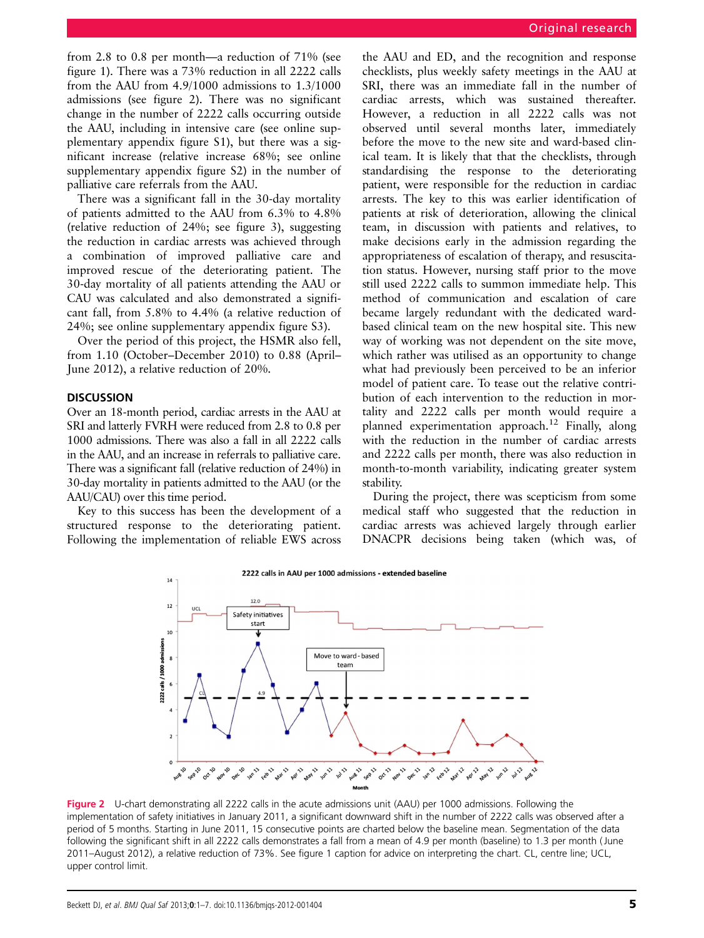from 2.8 to 0.8 per month—a reduction of 71% (see figure 1). There was a 73% reduction in all 2222 calls from the AAU from 4.9/1000 admissions to 1.3/1000 admissions (see figure 2). There was no significant change in the number of 2222 calls occurring outside the AAU, including in intensive care (see online supplementary appendix figure S1), but there was a significant increase (relative increase 68%; see online supplementary appendix figure S2) in the number of palliative care referrals from the AAU.

There was a significant fall in the 30-day mortality of patients admitted to the AAU from 6.3% to 4.8% (relative reduction of 24%; see figure 3), suggesting the reduction in cardiac arrests was achieved through a combination of improved palliative care and improved rescue of the deteriorating patient. The 30-day mortality of all patients attending the AAU or CAU was calculated and also demonstrated a significant fall, from 5.8% to 4.4% (a relative reduction of 24%; see online supplementary appendix figure S3).

Over the period of this project, the HSMR also fell, from 1.10 (October–December 2010) to 0.88 (April– June 2012), a relative reduction of 20%.

## **DISCUSSION**

Over an 18-month period, cardiac arrests in the AAU at SRI and latterly FVRH were reduced from 2.8 to 0.8 per 1000 admissions. There was also a fall in all 2222 calls in the AAU, and an increase in referrals to palliative care. There was a significant fall (relative reduction of 24%) in 30-day mortality in patients admitted to the AAU (or the AAU/CAU) over this time period.

Key to this success has been the development of a structured response to the deteriorating patient. Following the implementation of reliable EWS across

the AAU and ED, and the recognition and response checklists, plus weekly safety meetings in the AAU at SRI, there was an immediate fall in the number of cardiac arrests, which was sustained thereafter. However, a reduction in all 2222 calls was not observed until several months later, immediately before the move to the new site and ward-based clinical team. It is likely that that the checklists, through standardising the response to the deteriorating patient, were responsible for the reduction in cardiac arrests. The key to this was earlier identification of patients at risk of deterioration, allowing the clinical team, in discussion with patients and relatives, to make decisions early in the admission regarding the appropriateness of escalation of therapy, and resuscitation status. However, nursing staff prior to the move still used 2222 calls to summon immediate help. This method of communication and escalation of care became largely redundant with the dedicated wardbased clinical team on the new hospital site. This new way of working was not dependent on the site move, which rather was utilised as an opportunity to change what had previously been perceived to be an inferior model of patient care. To tease out the relative contribution of each intervention to the reduction in mortality and 2222 calls per month would require a planned experimentation approach.12 Finally, along with the reduction in the number of cardiac arrests and 2222 calls per month, there was also reduction in month-to-month variability, indicating greater system stability.

During the project, there was scepticism from some medical staff who suggested that the reduction in cardiac arrests was achieved largely through earlier DNACPR decisions being taken (which was, of



Figure 2 U-chart demonstrating all 2222 calls in the acute admissions unit (AAU) per 1000 admissions. Following the implementation of safety initiatives in January 2011, a significant downward shift in the number of 2222 calls was observed after a period of 5 months. Starting in June 2011, 15 consecutive points are charted below the baseline mean. Segmentation of the data following the significant shift in all 2222 calls demonstrates a fall from a mean of 4.9 per month (baseline) to 1.3 per month (June 2011–August 2012), a relative reduction of 73%. See figure 1 caption for advice on interpreting the chart. CL, centre line; UCL, upper control limit.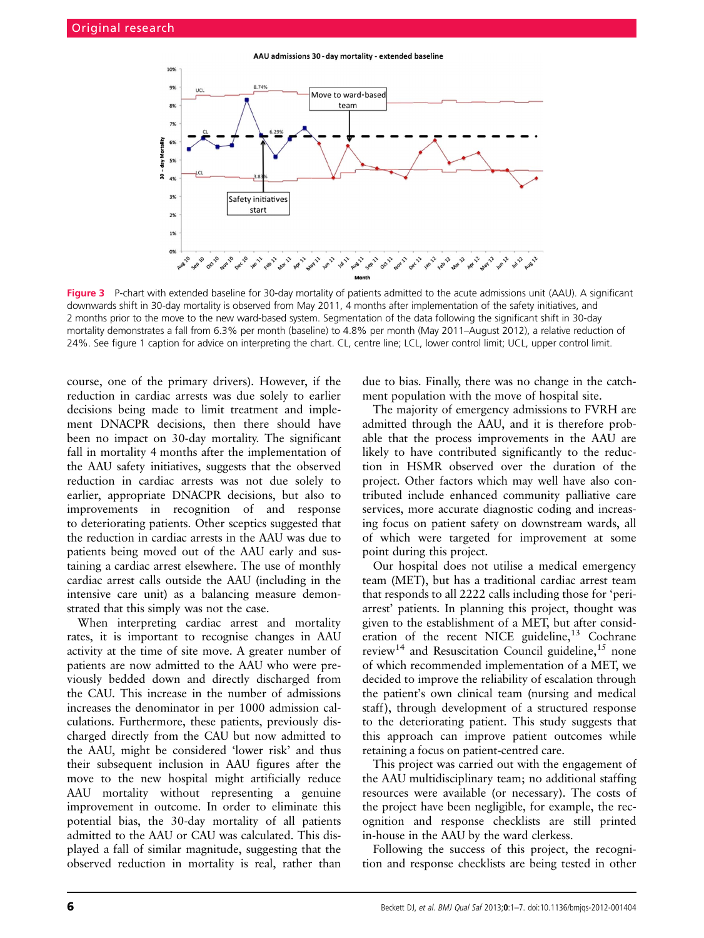AAU admissions 30 - day mortality - extended baseline



Figure 3 P-chart with extended baseline for 30-day mortality of patients admitted to the acute admissions unit (AAU). A significant downwards shift in 30-day mortality is observed from May 2011, 4 months after implementation of the safety initiatives, and 2 months prior to the move to the new ward-based system. Segmentation of the data following the significant shift in 30-day mortality demonstrates a fall from 6.3% per month (baseline) to 4.8% per month (May 2011–August 2012), a relative reduction of 24%. See figure 1 caption for advice on interpreting the chart. CL, centre line; LCL, lower control limit; UCL, upper control limit.

course, one of the primary drivers). However, if the reduction in cardiac arrests was due solely to earlier decisions being made to limit treatment and implement DNACPR decisions, then there should have been no impact on 30-day mortality. The significant fall in mortality 4 months after the implementation of the AAU safety initiatives, suggests that the observed reduction in cardiac arrests was not due solely to earlier, appropriate DNACPR decisions, but also to improvements in recognition of and response to deteriorating patients. Other sceptics suggested that the reduction in cardiac arrests in the AAU was due to patients being moved out of the AAU early and sustaining a cardiac arrest elsewhere. The use of monthly cardiac arrest calls outside the AAU (including in the intensive care unit) as a balancing measure demonstrated that this simply was not the case.

When interpreting cardiac arrest and mortality rates, it is important to recognise changes in AAU activity at the time of site move. A greater number of patients are now admitted to the AAU who were previously bedded down and directly discharged from the CAU. This increase in the number of admissions increases the denominator in per 1000 admission calculations. Furthermore, these patients, previously discharged directly from the CAU but now admitted to the AAU, might be considered 'lower risk' and thus their subsequent inclusion in AAU figures after the move to the new hospital might artificially reduce AAU mortality without representing a genuine improvement in outcome. In order to eliminate this potential bias, the 30-day mortality of all patients admitted to the AAU or CAU was calculated. This displayed a fall of similar magnitude, suggesting that the observed reduction in mortality is real, rather than

due to bias. Finally, there was no change in the catchment population with the move of hospital site.

The majority of emergency admissions to FVRH are admitted through the AAU, and it is therefore probable that the process improvements in the AAU are likely to have contributed significantly to the reduction in HSMR observed over the duration of the project. Other factors which may well have also contributed include enhanced community palliative care services, more accurate diagnostic coding and increasing focus on patient safety on downstream wards, all of which were targeted for improvement at some point during this project.

Our hospital does not utilise a medical emergency team (MET), but has a traditional cardiac arrest team that responds to all 2222 calls including those for 'periarrest' patients. In planning this project, thought was given to the establishment of a MET, but after consideration of the recent NICE guideline,  $13$  Cochrane review<sup>14</sup> and Resuscitation Council guideline,  $15$  none of which recommended implementation of a MET, we decided to improve the reliability of escalation through the patient's own clinical team (nursing and medical staff), through development of a structured response to the deteriorating patient. This study suggests that this approach can improve patient outcomes while retaining a focus on patient-centred care.

This project was carried out with the engagement of the AAU multidisciplinary team; no additional staffing resources were available (or necessary). The costs of the project have been negligible, for example, the recognition and response checklists are still printed in-house in the AAU by the ward clerkess.

Following the success of this project, the recognition and response checklists are being tested in other